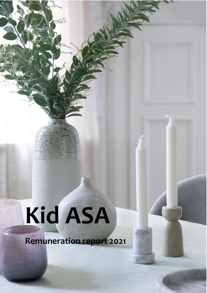# Kid ASA

Remuneration report 2021

Remuneration report 2021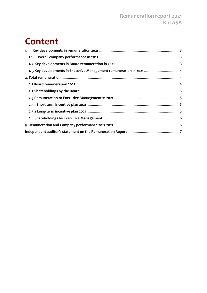## Content

| 1. |                                                                      |  |
|----|----------------------------------------------------------------------|--|
|    |                                                                      |  |
|    |                                                                      |  |
|    | 1. 3 Key developments in Executive Management remuneration in 2021 4 |  |
|    |                                                                      |  |
|    |                                                                      |  |
|    |                                                                      |  |
|    |                                                                      |  |
|    |                                                                      |  |
|    |                                                                      |  |
|    |                                                                      |  |
|    |                                                                      |  |
|    |                                                                      |  |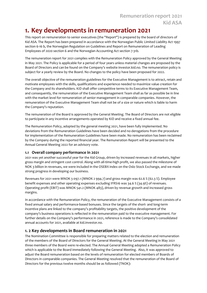## 1. Key developments in remuneration 2021

This report on remuneration to senior executives (the "Report") is prepared by the board of directors of Kid ASA. The Report has been prepared in accordance with the Norwegian Public Limited Liability Act 1997 section 6-16 b, the Norwegian Regulation on Guidelines and Report on Remuneration of Leading Employees of 2020 section 6 and the Norwegian Accounting Act section 7-31b.

The remuneration report for 2021 complies with the Remuneration Policy approved by the General Meeting in May 2021. The Policy is applicable for a period of four years unless material changes are proposed by the Board of Directors and can be found on the Company's website investor.kid.no. The remuneration policy is subject for a yearly review by the Board. No changes to the policy have been proposed for 2022.

The overall objective of the remuneration guidelines for the Executive Management is to attract, retain and motivate employees with the skills, qualifications and experience needed to maximize value creation for the Company and its shareholders. KID shall offer competitive terms to its Executive Management Team, and consequently, the remuneration of the Executive Management Team shall as far as possible be in line with the market level for remuneration of senior management in comparable companies. However, the remuneration of the Executive Management Team shall not be of a size or nature which is liable to harm the Company's reputation.

The remuneration of the Board is approved by the General Meeting. The Board of Directors are not eligible to participate in any incentive arrangements operated by KID and receive a fixed annual fee.

The Remuneration Policy, adopted by the general meeting 2021, have been fully implemented. No deviations from the Remuneration Guidelines have been decided and no derogations from the procedure for implementation of the Remuneration Guidelines have been made. No remuneration has been reclaimed by the Company during the reported financial year. The Remuneration Report will be presented to the Annual General Meeting 2022 for an advisory vote.

#### 1.1 Overall company performance in 2021

2021 was yet another successful year for the Kid Group, driven by increased revenues in all markets, higher gross margin and stringent cost control. Along with all-time-high profit, we also passed the milestone of NOK 3 billion in revenues, we were included in the OSEBX index on the Oslo Stock Exchange, and we made strong progress in developing our business.

Revenues for 2021 were MNOK 3 097.1 (MNOK 2 994.7) and gross margin was 62.6 % (62.3 %). Employee benefit expenses and other operating expenses excluding IFRS16 was 34.6 % (34.9%) of revenues. Operating profit (EBIT) was MNOK 541.2 (MNOK 483), driven by revenue growth and increased gross margins.

In accordance with the Remuneration Policy, the remuneration of the Executive Management consists of a fixed annual salary and performance-based bonuses. Since the targets of the short- and long-term incentive plans are linked to the company's profitability targets, the positive development of the company's business operations is reflected in the remuneration paid to the executive management. For further details on the Company's performance in 2021, reference is made to the Company's consolidated annual accounts for 2021, available at kid.investor.no.

#### 1. 2 Key developments in Board remuneration in 2021

The Nomination Committee is responsible for preparing matters related to the election and remuneration of the members of the Board of Directors for the General Meeting. At the General Meeting in May 2021 three members of the Board were re-elected. The Annual General Meeting adopted a Remuneration Policy which is applicable to the Board immediately following the General Meeting. Also, it was approved to adjust the Board remuneration based on the levels of remuneration for elected members of Boards of Directors in comparable companies. The General Meeting resolved that the remuneration of the Board of Directors for the previous twelve months should be as followed (TNOK):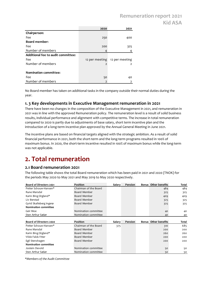### Remuneration report 2021 Kid ASA

|                                    | 2020           | 2021           |
|------------------------------------|----------------|----------------|
| Chairperson:                       |                |                |
| Fee                                | 250            | 400            |
| <b>Board member:</b>               |                |                |
| Fee                                | 200            | 325            |
| Number of members                  |                |                |
| Additional fee to audit committee: |                |                |
| Fee                                | 12 per meeting | 12 per meeting |
| Number of members                  |                | 2              |
|                                    |                |                |
| <b>Nomination committee:</b>       |                |                |
| Fee                                | 50             | 40             |
| Number of members                  | 2              |                |

No Board member has taken on additional tasks in the company outside their normal duties during the year.

#### 1. 3 Key developments in Executive Management remuneration in 2021

## 2. Total remuneration

#### 2.1 Board remuneration 2021

|                                                 | 1. 3 Key developments in Executive Management remuneration in 2021                                                                                                                                                                                                                                                                                                                                                                                                                                                                       |        |         |                      |          |
|-------------------------------------------------|------------------------------------------------------------------------------------------------------------------------------------------------------------------------------------------------------------------------------------------------------------------------------------------------------------------------------------------------------------------------------------------------------------------------------------------------------------------------------------------------------------------------------------------|--------|---------|----------------------|----------|
|                                                 | There have been no changes in the composition of the Executive Management in 2021, and remuneration in<br>2021 was in line with the approved Remuneration policy. The remuneration level is a result of solid business<br>results, individual performance and alignment with competitive terms. The increase in total remuneration<br>compared to 2020 is partly due to adjustments of base salary, short term incentive plan and the<br>introduction of a long-term incentive plan approved by the Annual General Meeting in June 2021. |        |         |                      |          |
| was not applicable.                             | The incentive plans are based on financial targets aligned with the strategic ambition. As a result of solid<br>financial performance in 2021, both the short-term and the long-term programs resulted in 100% of<br>maximum bonus. In 2020, the short-term incentive resulted in 100% of maximum bonus while the long-term                                                                                                                                                                                                              |        |         |                      |          |
| 2. Total remuneration                           |                                                                                                                                                                                                                                                                                                                                                                                                                                                                                                                                          |        |         |                      |          |
| 2.1 Board remuneration 2021                     |                                                                                                                                                                                                                                                                                                                                                                                                                                                                                                                                          |        |         |                      |          |
|                                                 | The following table shows the total Board remuneration which has been paid in 2021 and 2020 (TNOK) for                                                                                                                                                                                                                                                                                                                                                                                                                                   |        |         |                      |          |
|                                                 | the periods May 2020 to May 2021 and May 2019 to May 2020 respectively.                                                                                                                                                                                                                                                                                                                                                                                                                                                                  |        |         |                      |          |
|                                                 |                                                                                                                                                                                                                                                                                                                                                                                                                                                                                                                                          |        |         |                      |          |
|                                                 |                                                                                                                                                                                                                                                                                                                                                                                                                                                                                                                                          |        |         |                      |          |
| Board of Directors 2021                         | Position                                                                                                                                                                                                                                                                                                                                                                                                                                                                                                                                 | Salary | Pension | Bonus Other benefits | Total    |
| Petter Schouw-Hansen*                           | Chairman of the Board                                                                                                                                                                                                                                                                                                                                                                                                                                                                                                                    |        |         | 484                  | 484      |
| Rune Marsdal                                    | Board Member                                                                                                                                                                                                                                                                                                                                                                                                                                                                                                                             |        |         | 325                  | 325      |
| Karin Bing Orgland*                             | Board Member                                                                                                                                                                                                                                                                                                                                                                                                                                                                                                                             |        |         | 409                  | 409      |
| Liv Berstad                                     | Board Member                                                                                                                                                                                                                                                                                                                                                                                                                                                                                                                             |        |         | 325                  | 325      |
| Gyrid Skalleberg Ingerø<br>Nomination committee | Board Member                                                                                                                                                                                                                                                                                                                                                                                                                                                                                                                             |        |         | 325                  | 325      |
| Geir Moe                                        | Nomination committee                                                                                                                                                                                                                                                                                                                                                                                                                                                                                                                     |        |         |                      |          |
| Sten Arthur Sælør                               | Nomination committee                                                                                                                                                                                                                                                                                                                                                                                                                                                                                                                     |        |         | 40<br>40             | 40<br>40 |
|                                                 |                                                                                                                                                                                                                                                                                                                                                                                                                                                                                                                                          |        |         |                      |          |
| Board of Directors 2020                         | Position                                                                                                                                                                                                                                                                                                                                                                                                                                                                                                                                 | Salary | Pension | Bonus Other benefits | Total    |
| Petter Schouw-Hansen*                           | Chairman of the Board                                                                                                                                                                                                                                                                                                                                                                                                                                                                                                                    | 375    |         | 310                  | 685      |
| Rune Marsdal                                    | Board Member                                                                                                                                                                                                                                                                                                                                                                                                                                                                                                                             |        |         | 200                  | 200      |
| Karin Bing Orgland*                             | Board Member                                                                                                                                                                                                                                                                                                                                                                                                                                                                                                                             |        |         | 260                  | 260      |
| Vilde Falck-Ytter                               | Board Member                                                                                                                                                                                                                                                                                                                                                                                                                                                                                                                             |        |         | 200                  | 200      |
| Egil Stenshagen                                 | Board Member                                                                                                                                                                                                                                                                                                                                                                                                                                                                                                                             |        |         | 200                  | 200      |
| Nomination committee<br>Jostein Devold          | Nomination committee                                                                                                                                                                                                                                                                                                                                                                                                                                                                                                                     |        |         | 50                   | 50       |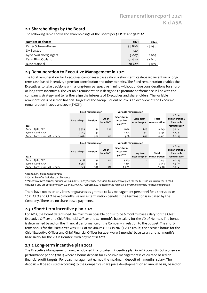#### 2.2 Shareholdings by the Board

|                                                                                                                                                                                                                       |          | <b>Remuneration report 2021</b> |                |
|-----------------------------------------------------------------------------------------------------------------------------------------------------------------------------------------------------------------------|----------|---------------------------------|----------------|
|                                                                                                                                                                                                                       |          |                                 | <b>Kid ASA</b> |
|                                                                                                                                                                                                                       |          |                                 |                |
| 2.2 Shareholdings by the Board                                                                                                                                                                                        |          |                                 |                |
| The following table shows the shareholdings of the Board per 31.12.21 and 31.12.20                                                                                                                                    |          |                                 |                |
| Number of shares                                                                                                                                                                                                      | 2021     | 2020                            |                |
|                                                                                                                                                                                                                       |          |                                 |                |
| Petter Schouw-Hansen                                                                                                                                                                                                  | 54808    | 44 0 58                         |                |
| Liv Berstad                                                                                                                                                                                                           | 420      |                                 |                |
| Gyrid Skalleberg Ingerø                                                                                                                                                                                               | 3007     | 1007                            |                |
| Karin Bing Orgland                                                                                                                                                                                                    | 32 6 2 9 | 32 629                          |                |
| Rune Marsdal                                                                                                                                                                                                          | 20 427   | 9677                            |                |
|                                                                                                                                                                                                                       |          |                                 |                |
| 2.3 Remuneration to Executive Management in 2021                                                                                                                                                                      |          |                                 |                |
| The total remuneration for Executives comprises a base salary, a short-term cash-based incentive, a long-                                                                                                             |          |                                 |                |
| term cash-based incentive, a pension contribution and other benefits. The fixed remuneration enables the<br>Executives to take decisions with a long-term perspective in mind without undue considerations for short- |          |                                 |                |

#### 2.3 Remuneration to Executive Management in 2021

The total remuneration for Executives comprises a base salary, a short-term cash-based incentive, a longterm cash-based incentive, a pension contribution and other benefits. The fixed remuneration enables the Executives to take decisions with a long-term perspective in mind without undue considerations for shortor long-term incentives. The variable remuneration is designed to promote performance in line with the company's strategy and to further align the interests of Executives and shareholders. The variable remuneration is based on financial targets of the Group. Set out below is an overview of the Executive remuneration in 2020 and 2021 (TNOK): The following table shows the shareholdings of the Board per 31.12.21 and 31.12.20<br>
Number of shareholdings of the Board per 31.12.21 and 31.12.20<br>
2021 Betstad<br>
2021 Decrease of San Apple Stadis (September 2021 Decrease EUTE Mistrian Internation **Control Control Control Control Control Control Control Control Control Control Control Control Control Control Control Control Control Control Control Control Control Control Control Control Co** 

|                              |              | <b>Fixed remuneration</b> |                     |                                    | Variable remuneration                    |         |                                                           |
|------------------------------|--------------|---------------------------|---------------------|------------------------------------|------------------------------------------|---------|-----------------------------------------------------------|
| 2021                         | Base salary* | Pension                   | Other<br>benefits** | Short term<br>incentive<br>plan*** | Long term<br>incentive plan remuneration | Total   | $%$ fixed<br>remuneration /<br>% variable<br>remuneration |
| Anders Fjeld, CEO            | 3 3 2 4      | 44                        | 200                 | 1650                               | 825                                      | 6 0 4 3 | 59/41                                                     |
| Eystein Lund, CFO            | 2 3 5 5      | 42                        |                     | 1225                               | 613                                      | 4238    | 57/43                                                     |
| Anders Lorentzson, VD Hemtex | 2 6 3 6      | 572                       | 127                 | 968                                | 645                                      | 4 9 4 7 | 67/33                                                     |

|                              |              | <b>Fixed remuneration</b> |                     | Variable remuneration   |           |                             |                                           |
|------------------------------|--------------|---------------------------|---------------------|-------------------------|-----------|-----------------------------|-------------------------------------------|
|                              | Base salary* | Pension                   | Other<br>benefits** | Short term<br>incentive | Long term | Total                       | $%$ fixed<br>remuneration /<br>% variable |
| 2020                         |              |                           |                     | plan***                 |           | incentive plan remuneration | remuneration                              |
| Anders Fjeld, CEO            | 3118         | 42                        | 210                 | 3775                    |           | 7 145                       | 47/53                                     |
| Eystein Lund, CFO            | 1587         | 33                        | a                   | 1 1 2 5                 |           | 2 7 5 4                     | 59/41                                     |
| Anders Lorentzson, VD Hemtex | 2 3 1 5      | 557                       | 156                 | 2070                    |           | 5098                        | 59/41                                     |

\*Base salary includes holiday pay

\*\*Other benefits includes car allowance

\*\*\*Incentives are earned, but not yet paid out as per year end. The short-term incentive plan for the CEO and VD in Hemtex in 2020 includes a one-off bonus of MNOK 2.2 and MNOK 1.5 respectively, related to the financial performance of the Hemtex integration.

There have not been any loans or guarantees granted to key management personnel for either 2020 or 2021. CEO and CFO have 6 months' salary as termination benefit if the termination is initiated by the Company. There are no share-based payments.

#### 2.3.1 Short term incentive plan 2021

For 2021, the Board determined the maximum possible bonus to be 6 month's base salary for the Chief Executive Officer and Chief Financial Officer and 4.5 month's base salary for the VD of Hemtex. The bonus is determined based on the financial performance of the Company in relation to the budget. The shortterm bonus for the Executives was 100% of maximum (100% in 2020). As a result, the accrued bonus for the Chief Executive Officer and Chief Financial Officer for 2021 were 6 months' base salary and 4.5 month's base salary for the VD in Hemtex, with payment in 2022.

#### 2.3.2 Long-term incentive plan 2021

The Executive Management have participated in a long-term incentive plan in 2021 consisting of a one-year performance period (2021) where a bonus deposit for executive management is calculated based on financial profit targets. For 2021, management earned the maximum deposit of 3 months' salary. The deposit will be adjusted according to the Company´s share price development on an annual basis, based on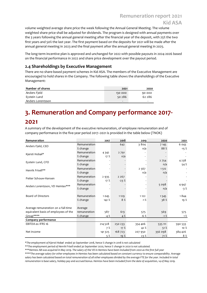## Remuneration report 2021 Kid ASA

volume weighted average share price the week following the Annual General Meeting. The volume weighted share price shall be adjusted for dividends. The program is designed with annual payments over the 3 years following the annual general meeting after the financial year of the deposit, with 25% the two first years and 50% the last year. The first payment based on the deposits for 2021 will be made after the annual general meeting in 2023 and the final payment after the annual general meeting in 2025.

The long-term incentive plan is approved and unchanged for 2022 with possible payouts in 2024-2026 based on the financial performance in 2022 and share price development over the payout period.

#### 2.4 Shareholdings by Executive Management

| Number of shares  | 2021                     | 2020   |
|-------------------|--------------------------|--------|
| Anders Fjeld      | 130 000                  | 90 000 |
| Eystein Lund      | 50 286                   | 62 286 |
| Anders Lorentzson | $\overline{\phantom{a}}$ | -      |

## 3. Remuneration and Company performance 2017- 2021

| 2.4 Shareholdings by Executive Management                                                              |              |          |         |         |         |         |
|--------------------------------------------------------------------------------------------------------|--------------|----------|---------|---------|---------|---------|
| There are no share-based payment schemes in Kid ASA. The members of the Executive Management are       |              |          |         |         |         |         |
| encouraged to hold shares in the Company. The following table shows the shareholdings of the Executive |              |          |         |         |         |         |
| Management:                                                                                            |              |          |         |         |         |         |
|                                                                                                        |              |          |         |         |         |         |
| Number of shares                                                                                       |              |          | 2021    | 2020    |         |         |
| Anders Fjeld                                                                                           |              |          | 130 000 | 90 000  |         |         |
| Eystein Lund                                                                                           |              |          | 50 286  | 62 286  |         |         |
| Anders Lorentzson                                                                                      |              |          |         |         |         |         |
|                                                                                                        |              |          |         |         |         |         |
|                                                                                                        |              |          |         |         |         |         |
| 3. Remuneration and Company performance 2017-                                                          |              |          |         |         |         |         |
|                                                                                                        |              |          |         |         |         |         |
| 2021                                                                                                   |              |          |         |         |         |         |
|                                                                                                        |              |          |         |         |         |         |
| A summary of the development of the executive remuneration, of employee remuneration and of            |              |          |         |         |         |         |
| company performance in the five-year period 2017-2021 is provided in the table below (TNOK)            |              |          |         |         |         |         |
|                                                                                                        |              |          |         |         |         |         |
| Remuneration                                                                                           |              | 2017     | 2018    | 2019    | 2020    | 2021    |
|                                                                                                        | Remuneration |          | 642     | 3804    | 7 1 4 5 | 6 0 4 3 |
| Anders Fjeld, CEO                                                                                      | % change     |          |         | n/a     | 88%     | $-15%$  |
|                                                                                                        | Remuneration | 4 3 4 2  | 2 7 9 1 |         |         |         |
| Kjersti Hobøl*                                                                                         | % change     | 17%      | n/a     |         |         |         |
|                                                                                                        | Remuneration |          |         |         | 2 7 5 4 | 4238    |
|                                                                                                        |              |          |         |         |         | 54%     |
| Eystein Lund, CFO                                                                                      |              |          |         |         |         |         |
|                                                                                                        | % change     |          |         |         | n/a     |         |
| Henrik Frisell**                                                                                       | Remuneration |          |         | 2 5 6 7 | 1512    |         |
|                                                                                                        | % change     |          |         | n/a     | n/a     |         |
| Petter Schouw-Hansen                                                                                   | Remuneration | 2 9 3 5  | 2 2 6 7 |         |         |         |
|                                                                                                        | % change     | 17 $%$   | $-23%$  |         |         |         |
| Anders Lorentzson, VD Hemtex***                                                                        | Remuneration |          |         |         | 5 0 9 8 | 4947    |
|                                                                                                        | % change     |          |         |         | n/a     | $-3%$   |
|                                                                                                        |              |          |         |         |         |         |
| Board of Directors                                                                                     | Remuneration | 1045     | 1129    | 1 1 2 2 | 1545    | 1844    |
|                                                                                                        | % change     | 142 %    | 8%      | $-1\%$  | 38%     | 19 %    |
|                                                                                                        |              |          |         |         |         |         |
| Average remuneration on a full-time                                                                    | Average      |          |         |         |         |         |
| equivalent basis of employees of the                                                                   | remuneration | 587      | 613     | 575     | 569     | 575     |
| Group****                                                                                              | % change     | $-4%$    | 4%      | $-6%$   | $-1%$   | $1\%$   |
| Company performance                                                                                    |              |          |         |         |         |         |
| EBITDA ex IFRS 16                                                                                      |              | 214 5 28 | 250 233 | 354 406 | 535 111 | 590 533 |
|                                                                                                        |              | 7%       | 17%     | 42 %    | 51%     | $10\%$  |
| Net income                                                                                             |              | 141 3 25 | 168 723 | 207 950 | 356 098 | 384 426 |

\*\*\*\*The average salary for other employees in Hemtex has been calculated based on constant currency to ensure comparability. Average salary has been calculated based on total remuneration of all other employees divided by the average FTE for the year. Included in total remuneration is base salary, holiday pay and accrued bonus. Hemtex have been included from the date of acquisition, 14 of May 2019.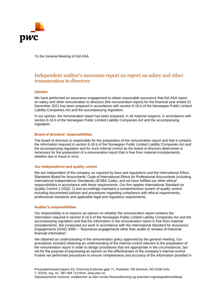

To the General Meeting of Kid ASA

#### Independent auditor's assurance report on report on salary and other remuneration to directors

#### **Opinion**

We have performed an assurance engagement to obtain reasonable assurance that Kid ASA report on salary and other remuneration to directors (the remuneration report) for the financial year ended 31 December 2021 has been prepared in accordance with section 6-16 b of the Norwegian Public Limited Liability Companies Act and the accompanying regulation.

In our opinion, the remuneration report has been prepared, in all material respects, in accordance with section 6-16 b of the Norwegian Public Limited Liability Companies Act and the accompanying regulation.

#### **Board of directors' responsibilities**

The board of directors is responsible for the preparation of the remuneration report and that it contains the information required in section 6-16 b of the Norwegian Public Limited Liability Companies Act and the accompanying regulation and for such internal control as the board of directors determines is necessary for the preparation of a remuneration report that is free from material misstatements, whether due to fraud or error.

#### **Our independence and quality control**

We are independent of the company as required by laws and regulations and the International Ethics Standards Board for Accountants' Code of International Ethics for Professional Accountants (including International Independence Standards) (IESBA Code), and we have fulfilled our other ethical responsibilities in accordance with these requirements. Our firm applies International Standard on Quality Control 1 (ISQC 1) and accordingly maintains a comprehensive system of quality control including documented policies and procedures regarding compliance with ethical requirements, professional standards and applicable legal and regulatory requirements.

#### **Auditor's responsibilities**

Our responsibility is to express an opinion on whether the remuneration report contains the information required in section 6-16 b of the Norwegian Public Limited Liability Companies Act and the accompanying regulation and that the information in the remuneration report is free from material misstatements. We conducted our work in accordance with the International Standard for Assurance Engagements (ISAE) 3000 – "Assurance engagements other than audits or reviews of historical financial information".

We obtained an understanding of the remuneration policy approved by the general meeting. Our procedures included obtaining an understanding of the internal control relevant to the preparation of the remuneration report in order to design procedures that are appropriate in the circumstances, but not for the purpose of expressing an opinion on the effectiveness of the company's internal control. Further we performed procedures to ensure completeness and accuracy of the information provided in

PricewaterhouseCoopers AS, Dronning Eufemias gate 71, Postboks 748 Sentrum, NO-0106 Oslo T: 02316, org. no.: 987 009 713 MVA, www.pwc.no Statsautoriserte revisorer, medlemmer av Den norske Revisorforening og autorisert regnskapsførerselskap